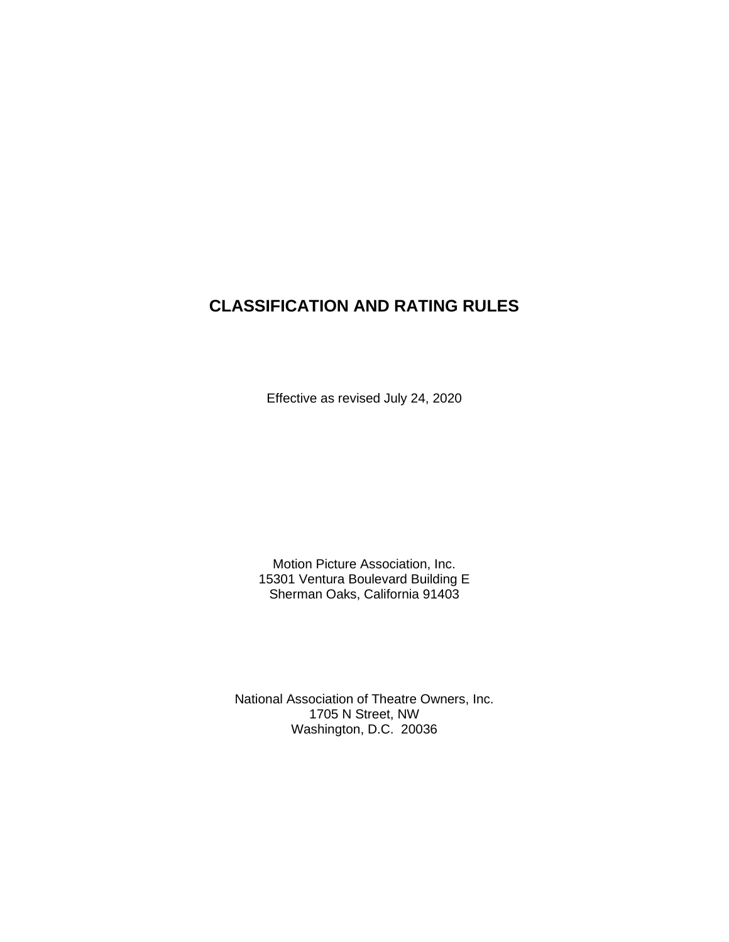# **CLASSIFICATION AND RATING RULES**

Effective as revised July 24, 2020

Motion Picture Association, Inc. 15301 Ventura Boulevard Building E Sherman Oaks, California 91403

National Association of Theatre Owners, Inc. 1705 N Street, NW Washington, D.C. 20036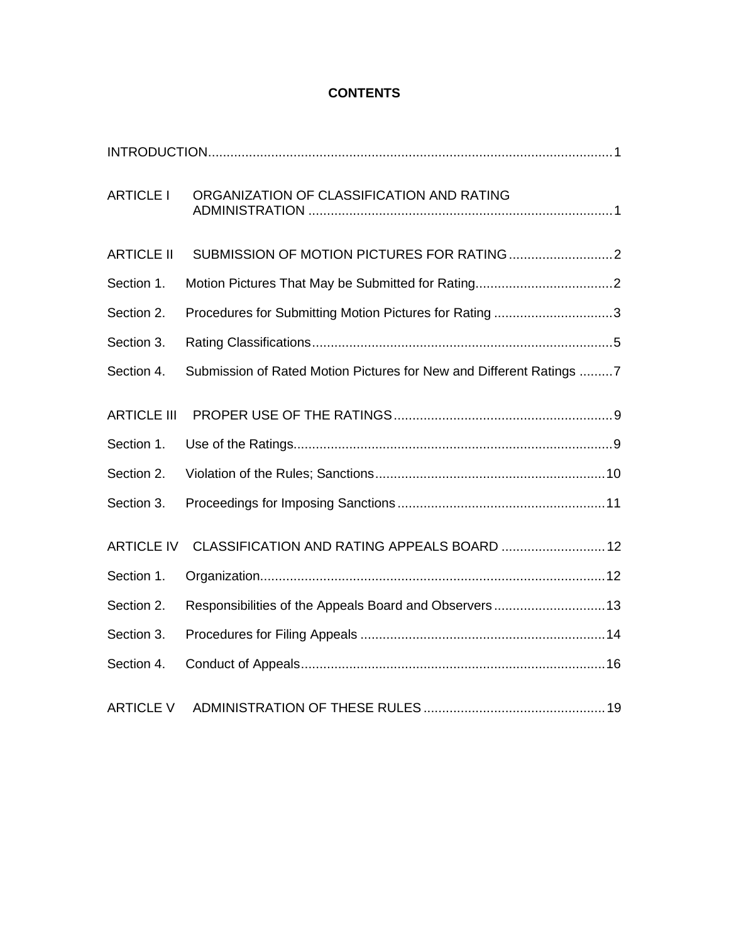## **CONTENTS**

| <b>ARTICLE I</b>   | ORGANIZATION OF CLASSIFICATION AND RATING                           |  |
|--------------------|---------------------------------------------------------------------|--|
| <b>ARTICLE II</b>  |                                                                     |  |
| Section 1.         |                                                                     |  |
| Section 2.         | Procedures for Submitting Motion Pictures for Rating 3              |  |
| Section 3.         |                                                                     |  |
| Section 4.         | Submission of Rated Motion Pictures for New and Different Ratings 7 |  |
| <b>ARTICLE III</b> |                                                                     |  |
| Section 1.         |                                                                     |  |
| Section 2.         |                                                                     |  |
| Section 3.         |                                                                     |  |
| <b>ARTICLE IV</b>  | CLASSIFICATION AND RATING APPEALS BOARD  12                         |  |
| Section 1.         |                                                                     |  |
| Section 2.         | Responsibilities of the Appeals Board and Observers13               |  |
| Section 3.         |                                                                     |  |
| Section 4.         |                                                                     |  |
| <b>ARTICLE V</b>   |                                                                     |  |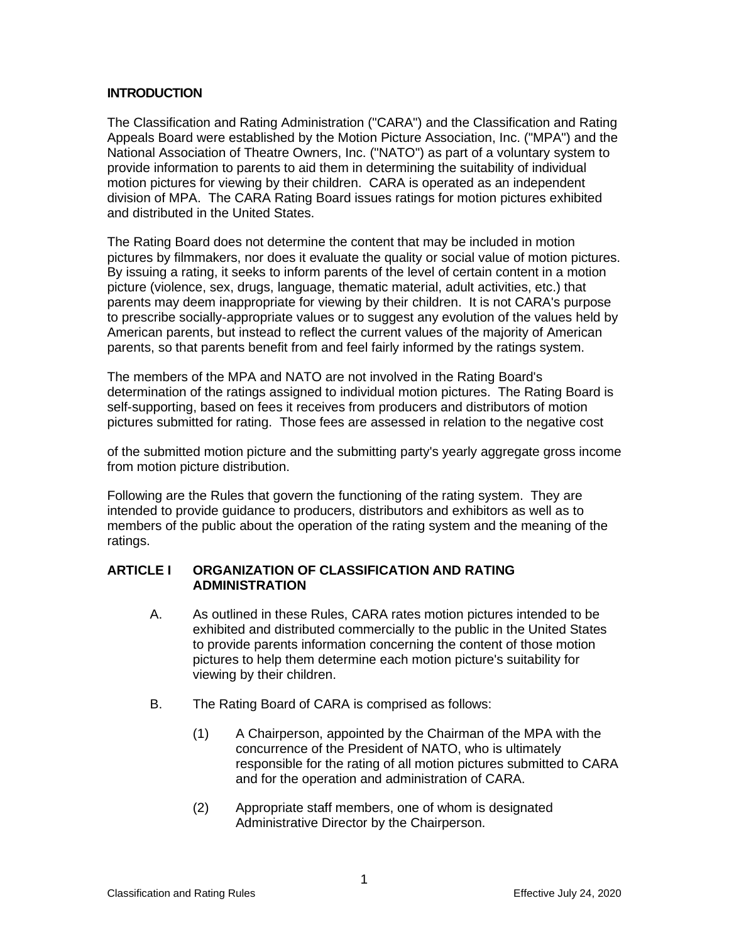#### **INTRODUCTION**

The Classification and Rating Administration ("CARA") and the Classification and Rating Appeals Board were established by the Motion Picture Association, Inc. ("MPA") and the National Association of Theatre Owners, Inc. ("NATO") as part of a voluntary system to provide information to parents to aid them in determining the suitability of individual motion pictures for viewing by their children. CARA is operated as an independent division of MPA. The CARA Rating Board issues ratings for motion pictures exhibited and distributed in the United States.

The Rating Board does not determine the content that may be included in motion pictures by filmmakers, nor does it evaluate the quality or social value of motion pictures. By issuing a rating, it seeks to inform parents of the level of certain content in a motion picture (violence, sex, drugs, language, thematic material, adult activities, etc.) that parents may deem inappropriate for viewing by their children. It is not CARA's purpose to prescribe socially-appropriate values or to suggest any evolution of the values held by American parents, but instead to reflect the current values of the majority of American parents, so that parents benefit from and feel fairly informed by the ratings system.

The members of the MPA and NATO are not involved in the Rating Board's determination of the ratings assigned to individual motion pictures. The Rating Board is self-supporting, based on fees it receives from producers and distributors of motion pictures submitted for rating. Those fees are assessed in relation to the negative cost

of the submitted motion picture and the submitting party's yearly aggregate gross income from motion picture distribution.

Following are the Rules that govern the functioning of the rating system. They are intended to provide guidance to producers, distributors and exhibitors as well as to members of the public about the operation of the rating system and the meaning of the ratings.

#### **ARTICLE I ORGANIZATION OF CLASSIFICATION AND RATING ADMINISTRATION**

- A. As outlined in these Rules, CARA rates motion pictures intended to be exhibited and distributed commercially to the public in the United States to provide parents information concerning the content of those motion pictures to help them determine each motion picture's suitability for viewing by their children.
- B. The Rating Board of CARA is comprised as follows:
	- (1) A Chairperson, appointed by the Chairman of the MPA with the concurrence of the President of NATO, who is ultimately responsible for the rating of all motion pictures submitted to CARA and for the operation and administration of CARA.
	- (2) Appropriate staff members, one of whom is designated Administrative Director by the Chairperson.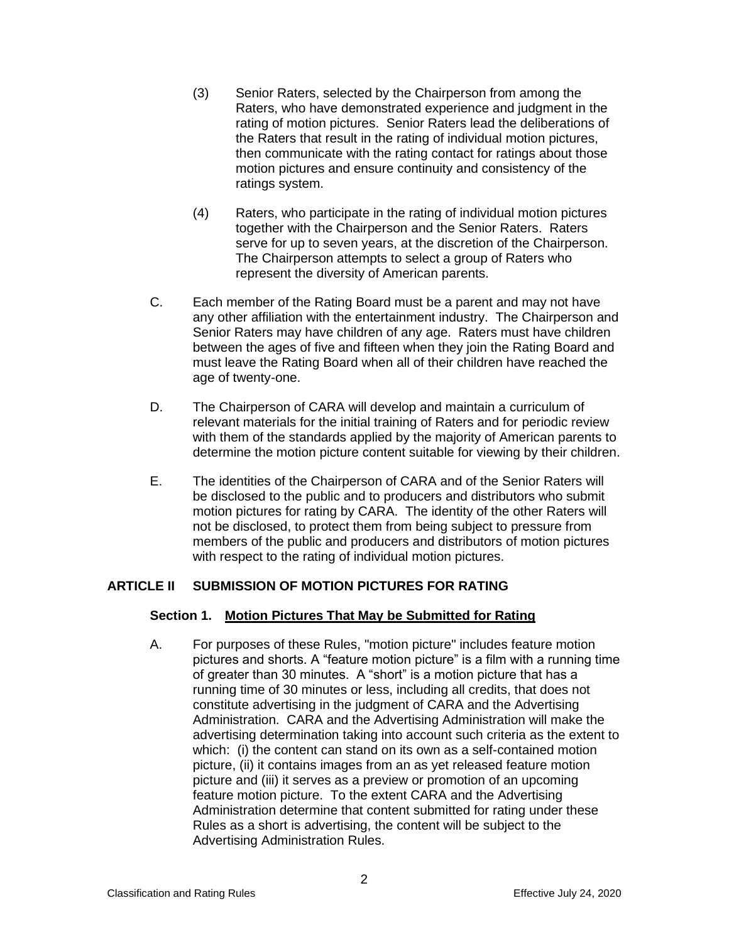- (3) Senior Raters, selected by the Chairperson from among the Raters, who have demonstrated experience and judgment in the rating of motion pictures. Senior Raters lead the deliberations of the Raters that result in the rating of individual motion pictures, then communicate with the rating contact for ratings about those motion pictures and ensure continuity and consistency of the ratings system.
- (4) Raters, who participate in the rating of individual motion pictures together with the Chairperson and the Senior Raters. Raters serve for up to seven years, at the discretion of the Chairperson. The Chairperson attempts to select a group of Raters who represent the diversity of American parents.
- C. Each member of the Rating Board must be a parent and may not have any other affiliation with the entertainment industry. The Chairperson and Senior Raters may have children of any age. Raters must have children between the ages of five and fifteen when they join the Rating Board and must leave the Rating Board when all of their children have reached the age of twenty-one.
- D. The Chairperson of CARA will develop and maintain a curriculum of relevant materials for the initial training of Raters and for periodic review with them of the standards applied by the majority of American parents to determine the motion picture content suitable for viewing by their children.
- E. The identities of the Chairperson of CARA and of the Senior Raters will be disclosed to the public and to producers and distributors who submit motion pictures for rating by CARA. The identity of the other Raters will not be disclosed, to protect them from being subject to pressure from members of the public and producers and distributors of motion pictures with respect to the rating of individual motion pictures.

#### **ARTICLE II SUBMISSION OF MOTION PICTURES FOR RATING**

#### **Section 1. Motion Pictures That May be Submitted for Rating**

A. For purposes of these Rules, "motion picture" includes feature motion pictures and shorts. A "feature motion picture" is a film with a running time of greater than 30 minutes. A "short" is a motion picture that has a running time of 30 minutes or less, including all credits, that does not constitute advertising in the judgment of CARA and the Advertising Administration. CARA and the Advertising Administration will make the advertising determination taking into account such criteria as the extent to which: (i) the content can stand on its own as a self-contained motion picture, (ii) it contains images from an as yet released feature motion picture and (iii) it serves as a preview or promotion of an upcoming feature motion picture. To the extent CARA and the Advertising Administration determine that content submitted for rating under these Rules as a short is advertising, the content will be subject to the Advertising Administration Rules.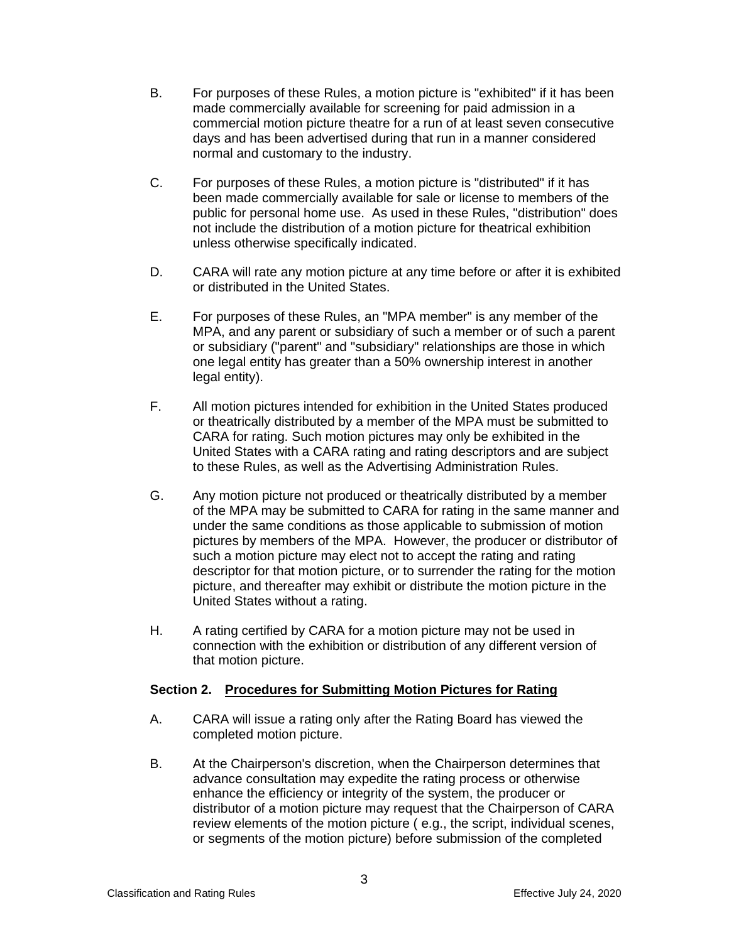- B. For purposes of these Rules, a motion picture is "exhibited" if it has been made commercially available for screening for paid admission in a commercial motion picture theatre for a run of at least seven consecutive days and has been advertised during that run in a manner considered normal and customary to the industry.
- C. For purposes of these Rules, a motion picture is "distributed" if it has been made commercially available for sale or license to members of the public for personal home use. As used in these Rules, "distribution" does not include the distribution of a motion picture for theatrical exhibition unless otherwise specifically indicated.
- D. CARA will rate any motion picture at any time before or after it is exhibited or distributed in the United States.
- E. For purposes of these Rules, an "MPA member" is any member of the MPA, and any parent or subsidiary of such a member or of such a parent or subsidiary ("parent" and "subsidiary" relationships are those in which one legal entity has greater than a 50% ownership interest in another legal entity).
- F. All motion pictures intended for exhibition in the United States produced or theatrically distributed by a member of the MPA must be submitted to CARA for rating. Such motion pictures may only be exhibited in the United States with a CARA rating and rating descriptors and are subject to these Rules, as well as the Advertising Administration Rules.
- G. Any motion picture not produced or theatrically distributed by a member of the MPA may be submitted to CARA for rating in the same manner and under the same conditions as those applicable to submission of motion pictures by members of the MPA. However, the producer or distributor of such a motion picture may elect not to accept the rating and rating descriptor for that motion picture, or to surrender the rating for the motion picture, and thereafter may exhibit or distribute the motion picture in the United States without a rating.
- H. A rating certified by CARA for a motion picture may not be used in connection with the exhibition or distribution of any different version of that motion picture.

#### **Section 2. Procedures for Submitting Motion Pictures for Rating**

- A. CARA will issue a rating only after the Rating Board has viewed the completed motion picture.
- B. At the Chairperson's discretion, when the Chairperson determines that advance consultation may expedite the rating process or otherwise enhance the efficiency or integrity of the system, the producer or distributor of a motion picture may request that the Chairperson of CARA review elements of the motion picture ( e.g., the script, individual scenes, or segments of the motion picture) before submission of the completed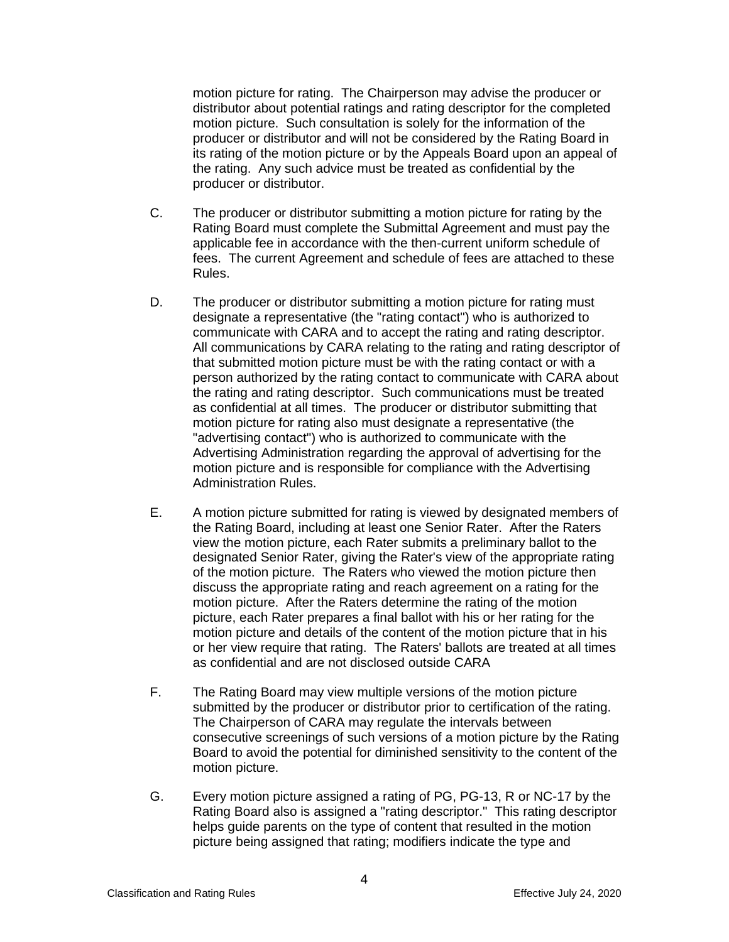motion picture for rating. The Chairperson may advise the producer or distributor about potential ratings and rating descriptor for the completed motion picture. Such consultation is solely for the information of the producer or distributor and will not be considered by the Rating Board in its rating of the motion picture or by the Appeals Board upon an appeal of the rating. Any such advice must be treated as confidential by the producer or distributor.

- C. The producer or distributor submitting a motion picture for rating by the Rating Board must complete the Submittal Agreement and must pay the applicable fee in accordance with the then-current uniform schedule of fees. The current Agreement and schedule of fees are attached to these Rules.
- D. The producer or distributor submitting a motion picture for rating must designate a representative (the "rating contact") who is authorized to communicate with CARA and to accept the rating and rating descriptor. All communications by CARA relating to the rating and rating descriptor of that submitted motion picture must be with the rating contact or with a person authorized by the rating contact to communicate with CARA about the rating and rating descriptor. Such communications must be treated as confidential at all times. The producer or distributor submitting that motion picture for rating also must designate a representative (the "advertising contact") who is authorized to communicate with the Advertising Administration regarding the approval of advertising for the motion picture and is responsible for compliance with the Advertising Administration Rules.
- E. A motion picture submitted for rating is viewed by designated members of the Rating Board, including at least one Senior Rater. After the Raters view the motion picture, each Rater submits a preliminary ballot to the designated Senior Rater, giving the Rater's view of the appropriate rating of the motion picture. The Raters who viewed the motion picture then discuss the appropriate rating and reach agreement on a rating for the motion picture. After the Raters determine the rating of the motion picture, each Rater prepares a final ballot with his or her rating for the motion picture and details of the content of the motion picture that in his or her view require that rating. The Raters' ballots are treated at all times as confidential and are not disclosed outside CARA
- F. The Rating Board may view multiple versions of the motion picture submitted by the producer or distributor prior to certification of the rating. The Chairperson of CARA may regulate the intervals between consecutive screenings of such versions of a motion picture by the Rating Board to avoid the potential for diminished sensitivity to the content of the motion picture.
- G. Every motion picture assigned a rating of PG, PG-13, R or NC-17 by the Rating Board also is assigned a "rating descriptor." This rating descriptor helps guide parents on the type of content that resulted in the motion picture being assigned that rating; modifiers indicate the type and

4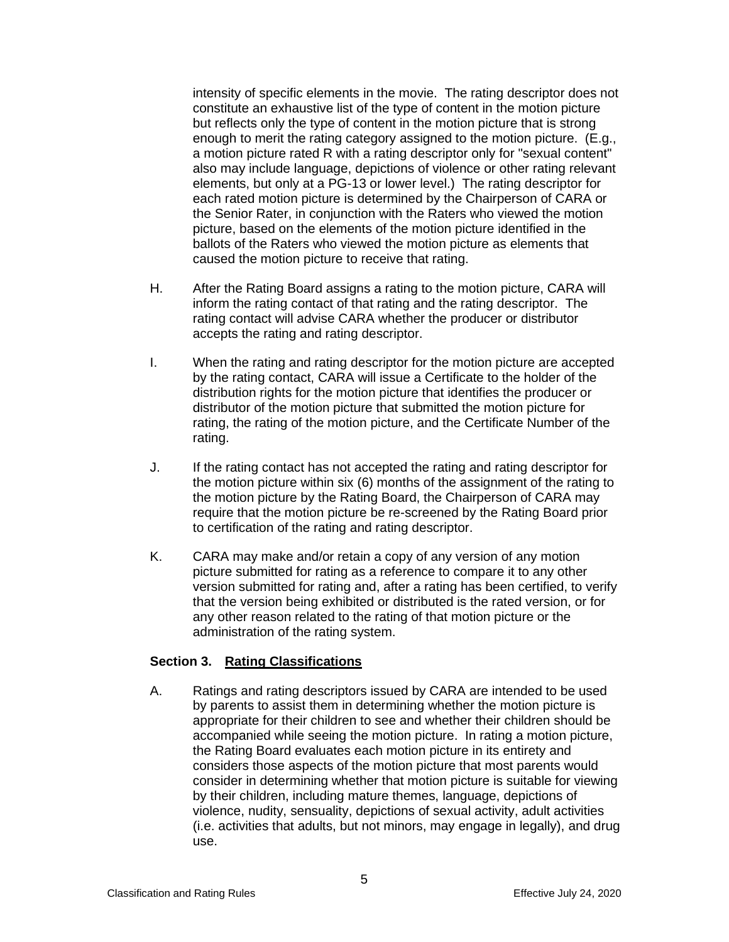intensity of specific elements in the movie. The rating descriptor does not constitute an exhaustive list of the type of content in the motion picture but reflects only the type of content in the motion picture that is strong enough to merit the rating category assigned to the motion picture. (E.g., a motion picture rated R with a rating descriptor only for "sexual content" also may include language, depictions of violence or other rating relevant elements, but only at a PG-13 or lower level.) The rating descriptor for each rated motion picture is determined by the Chairperson of CARA or the Senior Rater, in conjunction with the Raters who viewed the motion picture, based on the elements of the motion picture identified in the ballots of the Raters who viewed the motion picture as elements that caused the motion picture to receive that rating.

- H. After the Rating Board assigns a rating to the motion picture, CARA will inform the rating contact of that rating and the rating descriptor. The rating contact will advise CARA whether the producer or distributor accepts the rating and rating descriptor.
- I. When the rating and rating descriptor for the motion picture are accepted by the rating contact, CARA will issue a Certificate to the holder of the distribution rights for the motion picture that identifies the producer or distributor of the motion picture that submitted the motion picture for rating, the rating of the motion picture, and the Certificate Number of the rating.
- J. If the rating contact has not accepted the rating and rating descriptor for the motion picture within six (6) months of the assignment of the rating to the motion picture by the Rating Board, the Chairperson of CARA may require that the motion picture be re-screened by the Rating Board prior to certification of the rating and rating descriptor.
- K. CARA may make and/or retain a copy of any version of any motion picture submitted for rating as a reference to compare it to any other version submitted for rating and, after a rating has been certified, to verify that the version being exhibited or distributed is the rated version, or for any other reason related to the rating of that motion picture or the administration of the rating system.

#### **Section 3. Rating Classifications**

A. Ratings and rating descriptors issued by CARA are intended to be used by parents to assist them in determining whether the motion picture is appropriate for their children to see and whether their children should be accompanied while seeing the motion picture. In rating a motion picture, the Rating Board evaluates each motion picture in its entirety and considers those aspects of the motion picture that most parents would consider in determining whether that motion picture is suitable for viewing by their children, including mature themes, language, depictions of violence, nudity, sensuality, depictions of sexual activity, adult activities (i.e. activities that adults, but not minors, may engage in legally), and drug use.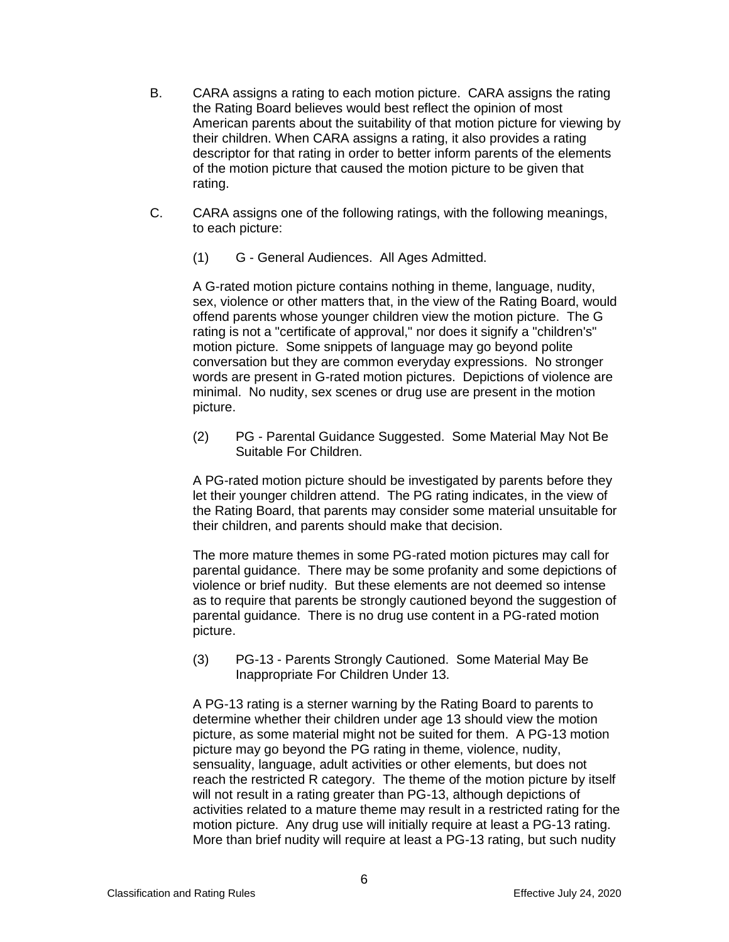- B. CARA assigns a rating to each motion picture. CARA assigns the rating the Rating Board believes would best reflect the opinion of most American parents about the suitability of that motion picture for viewing by their children. When CARA assigns a rating, it also provides a rating descriptor for that rating in order to better inform parents of the elements of the motion picture that caused the motion picture to be given that rating.
- C. CARA assigns one of the following ratings, with the following meanings, to each picture:
	- (1) G General Audiences. All Ages Admitted.

A G-rated motion picture contains nothing in theme, language, nudity, sex, violence or other matters that, in the view of the Rating Board, would offend parents whose younger children view the motion picture. The G rating is not a "certificate of approval," nor does it signify a "children's" motion picture. Some snippets of language may go beyond polite conversation but they are common everyday expressions. No stronger words are present in G-rated motion pictures. Depictions of violence are minimal. No nudity, sex scenes or drug use are present in the motion picture.

(2) PG - Parental Guidance Suggested. Some Material May Not Be Suitable For Children.

A PG-rated motion picture should be investigated by parents before they let their younger children attend. The PG rating indicates, in the view of the Rating Board, that parents may consider some material unsuitable for their children, and parents should make that decision.

The more mature themes in some PG-rated motion pictures may call for parental guidance. There may be some profanity and some depictions of violence or brief nudity. But these elements are not deemed so intense as to require that parents be strongly cautioned beyond the suggestion of parental guidance. There is no drug use content in a PG-rated motion picture.

(3) PG-13 - Parents Strongly Cautioned. Some Material May Be Inappropriate For Children Under 13.

A PG-13 rating is a sterner warning by the Rating Board to parents to determine whether their children under age 13 should view the motion picture, as some material might not be suited for them. A PG-13 motion picture may go beyond the PG rating in theme, violence, nudity, sensuality, language, adult activities or other elements, but does not reach the restricted R category. The theme of the motion picture by itself will not result in a rating greater than PG-13, although depictions of activities related to a mature theme may result in a restricted rating for the motion picture. Any drug use will initially require at least a PG-13 rating. More than brief nudity will require at least a PG-13 rating, but such nudity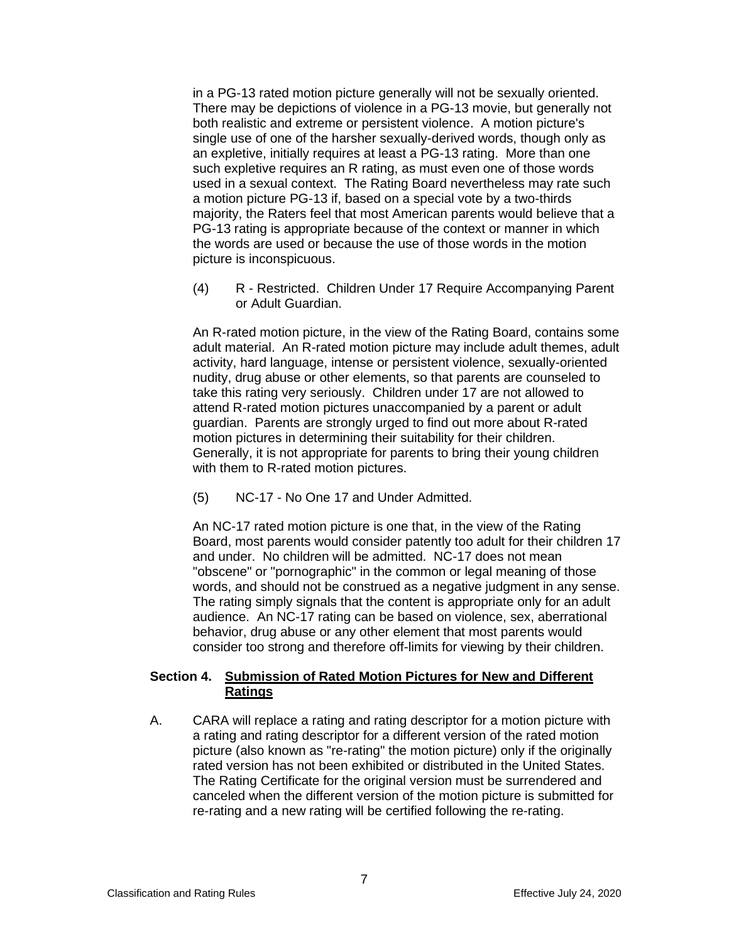in a PG-13 rated motion picture generally will not be sexually oriented. There may be depictions of violence in a PG-13 movie, but generally not both realistic and extreme or persistent violence. A motion picture's single use of one of the harsher sexually-derived words, though only as an expletive, initially requires at least a PG-13 rating. More than one such expletive requires an R rating, as must even one of those words used in a sexual context. The Rating Board nevertheless may rate such a motion picture PG-13 if, based on a special vote by a two-thirds majority, the Raters feel that most American parents would believe that a PG-13 rating is appropriate because of the context or manner in which the words are used or because the use of those words in the motion picture is inconspicuous.

(4) R - Restricted. Children Under 17 Require Accompanying Parent or Adult Guardian.

An R-rated motion picture, in the view of the Rating Board, contains some adult material. An R-rated motion picture may include adult themes, adult activity, hard language, intense or persistent violence, sexually-oriented nudity, drug abuse or other elements, so that parents are counseled to take this rating very seriously. Children under 17 are not allowed to attend R-rated motion pictures unaccompanied by a parent or adult guardian. Parents are strongly urged to find out more about R-rated motion pictures in determining their suitability for their children. Generally, it is not appropriate for parents to bring their young children with them to R-rated motion pictures.

(5) NC-17 - No One 17 and Under Admitted.

An NC-17 rated motion picture is one that, in the view of the Rating Board, most parents would consider patently too adult for their children 17 and under. No children will be admitted. NC-17 does not mean "obscene" or "pornographic" in the common or legal meaning of those words, and should not be construed as a negative judgment in any sense. The rating simply signals that the content is appropriate only for an adult audience. An NC-17 rating can be based on violence, sex, aberrational behavior, drug abuse or any other element that most parents would consider too strong and therefore off-limits for viewing by their children.

#### **Section 4. Submission of Rated Motion Pictures for New and Different Ratings**

A. CARA will replace a rating and rating descriptor for a motion picture with a rating and rating descriptor for a different version of the rated motion picture (also known as "re-rating" the motion picture) only if the originally rated version has not been exhibited or distributed in the United States. The Rating Certificate for the original version must be surrendered and canceled when the different version of the motion picture is submitted for re-rating and a new rating will be certified following the re-rating.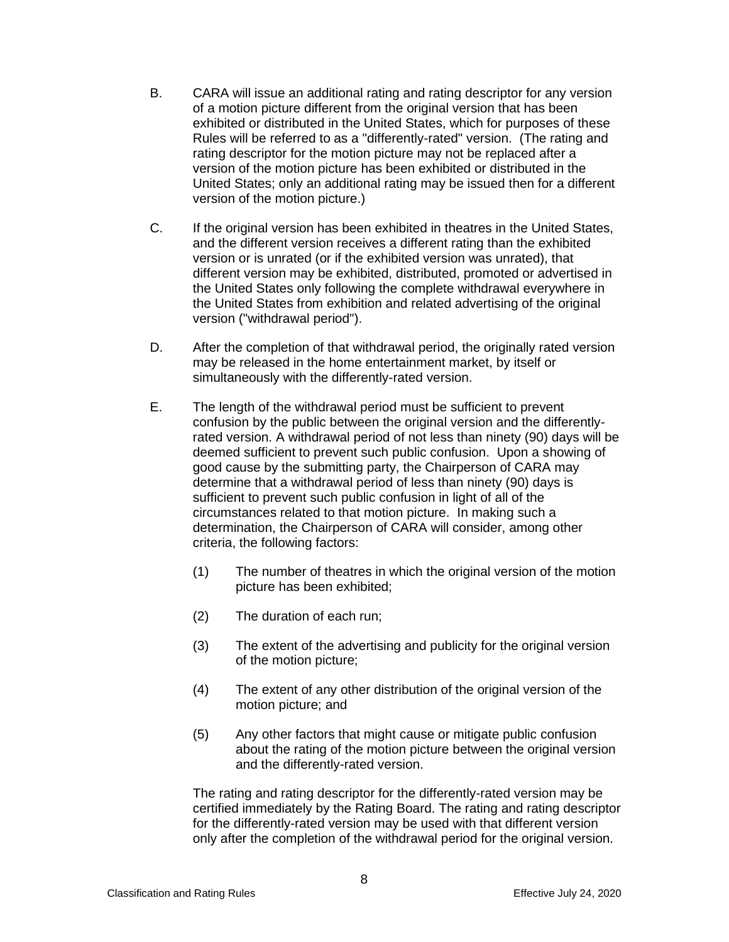- B. CARA will issue an additional rating and rating descriptor for any version of a motion picture different from the original version that has been exhibited or distributed in the United States, which for purposes of these Rules will be referred to as a "differently-rated" version. (The rating and rating descriptor for the motion picture may not be replaced after a version of the motion picture has been exhibited or distributed in the United States; only an additional rating may be issued then for a different version of the motion picture.)
- C. If the original version has been exhibited in theatres in the United States, and the different version receives a different rating than the exhibited version or is unrated (or if the exhibited version was unrated), that different version may be exhibited, distributed, promoted or advertised in the United States only following the complete withdrawal everywhere in the United States from exhibition and related advertising of the original version ("withdrawal period").
- D. After the completion of that withdrawal period, the originally rated version may be released in the home entertainment market, by itself or simultaneously with the differently-rated version.
- E. The length of the withdrawal period must be sufficient to prevent confusion by the public between the original version and the differentlyrated version. A withdrawal period of not less than ninety (90) days will be deemed sufficient to prevent such public confusion. Upon a showing of good cause by the submitting party, the Chairperson of CARA may determine that a withdrawal period of less than ninety (90) days is sufficient to prevent such public confusion in light of all of the circumstances related to that motion picture. In making such a determination, the Chairperson of CARA will consider, among other criteria, the following factors:
	- (1) The number of theatres in which the original version of the motion picture has been exhibited;
	- (2) The duration of each run;
	- (3) The extent of the advertising and publicity for the original version of the motion picture;
	- (4) The extent of any other distribution of the original version of the motion picture; and
	- (5) Any other factors that might cause or mitigate public confusion about the rating of the motion picture between the original version and the differently-rated version.

The rating and rating descriptor for the differently-rated version may be certified immediately by the Rating Board. The rating and rating descriptor for the differently-rated version may be used with that different version only after the completion of the withdrawal period for the original version.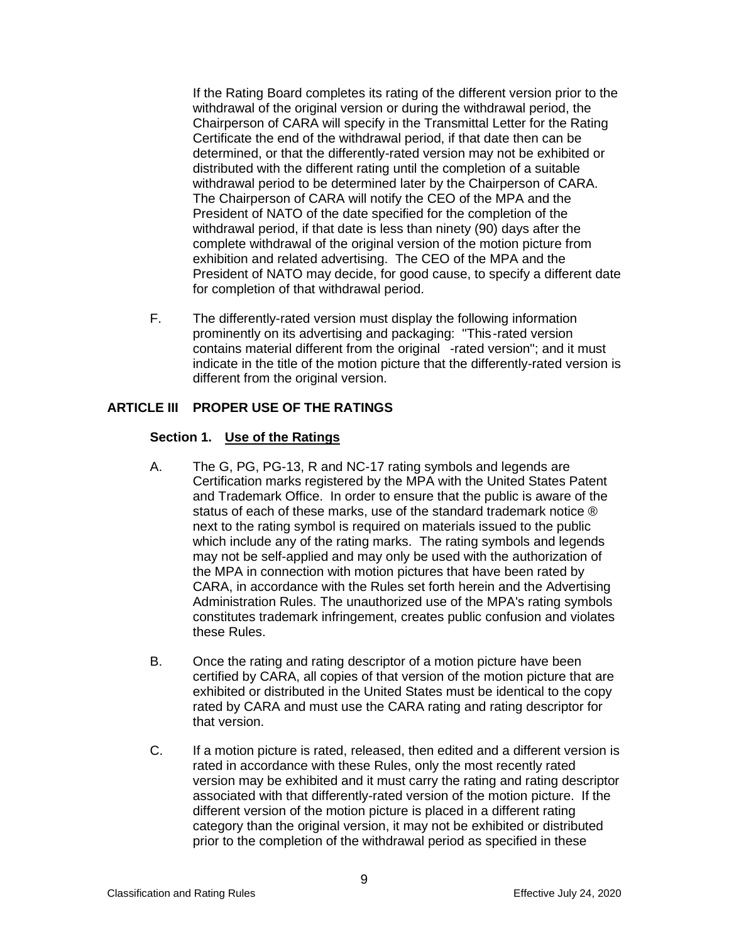If the Rating Board completes its rating of the different version prior to the withdrawal of the original version or during the withdrawal period, the Chairperson of CARA will specify in the Transmittal Letter for the Rating Certificate the end of the withdrawal period, if that date then can be determined, or that the differently-rated version may not be exhibited or distributed with the different rating until the completion of a suitable withdrawal period to be determined later by the Chairperson of CARA. The Chairperson of CARA will notify the CEO of the MPA and the President of NATO of the date specified for the completion of the withdrawal period, if that date is less than ninety (90) days after the complete withdrawal of the original version of the motion picture from exhibition and related advertising. The CEO of the MPA and the President of NATO may decide, for good cause, to specify a different date for completion of that withdrawal period.

F. The differently-rated version must display the following information prominently on its advertising and packaging: "This-rated version contains material different from the original -rated version"; and it must indicate in the title of the motion picture that the differently-rated version is different from the original version.

### **ARTICLE III PROPER USE OF THE RATINGS**

#### **Section 1. Use of the Ratings**

- A. The G, PG, PG-13, R and NC-17 rating symbols and legends are Certification marks registered by the MPA with the United States Patent and Trademark Office. In order to ensure that the public is aware of the status of each of these marks, use of the standard trademark notice ® next to the rating symbol is required on materials issued to the public which include any of the rating marks. The rating symbols and legends may not be self-applied and may only be used with the authorization of the MPA in connection with motion pictures that have been rated by CARA, in accordance with the Rules set forth herein and the Advertising Administration Rules. The unauthorized use of the MPA's rating symbols constitutes trademark infringement, creates public confusion and violates these Rules.
- B. Once the rating and rating descriptor of a motion picture have been certified by CARA, all copies of that version of the motion picture that are exhibited or distributed in the United States must be identical to the copy rated by CARA and must use the CARA rating and rating descriptor for that version.
- C. If a motion picture is rated, released, then edited and a different version is rated in accordance with these Rules, only the most recently rated version may be exhibited and it must carry the rating and rating descriptor associated with that differently-rated version of the motion picture. If the different version of the motion picture is placed in a different rating category than the original version, it may not be exhibited or distributed prior to the completion of the withdrawal period as specified in these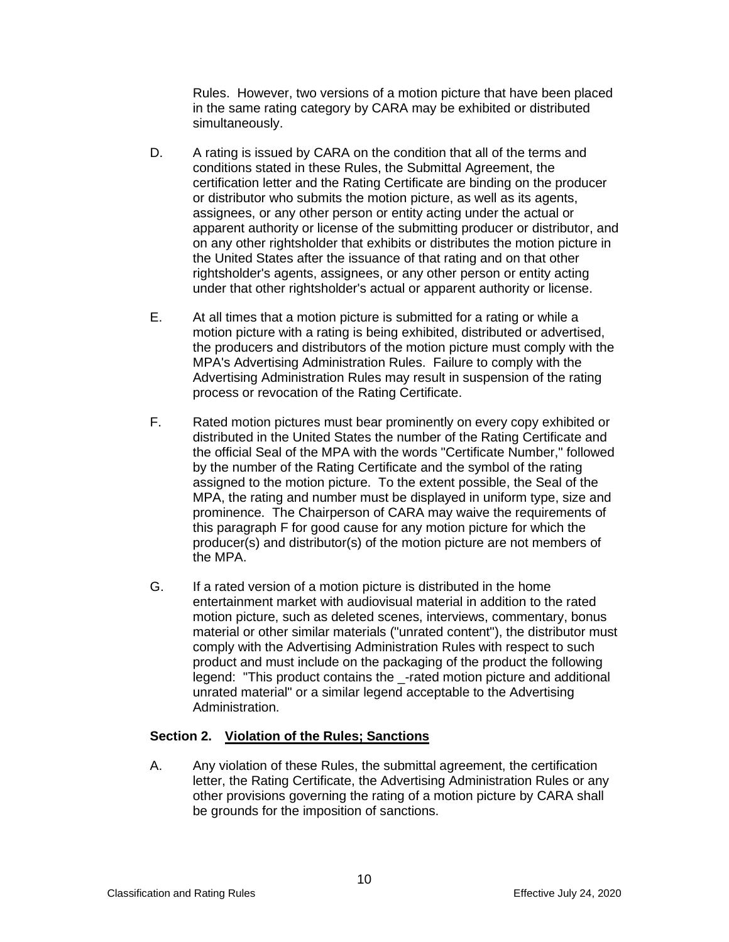Rules. However, two versions of a motion picture that have been placed in the same rating category by CARA may be exhibited or distributed simultaneously.

- D. A rating is issued by CARA on the condition that all of the terms and conditions stated in these Rules, the Submittal Agreement, the certification letter and the Rating Certificate are binding on the producer or distributor who submits the motion picture, as well as its agents, assignees, or any other person or entity acting under the actual or apparent authority or license of the submitting producer or distributor, and on any other rightsholder that exhibits or distributes the motion picture in the United States after the issuance of that rating and on that other rightsholder's agents, assignees, or any other person or entity acting under that other rightsholder's actual or apparent authority or license.
- E. At all times that a motion picture is submitted for a rating or while a motion picture with a rating is being exhibited, distributed or advertised, the producers and distributors of the motion picture must comply with the MPA's Advertising Administration Rules. Failure to comply with the Advertising Administration Rules may result in suspension of the rating process or revocation of the Rating Certificate.
- F. Rated motion pictures must bear prominently on every copy exhibited or distributed in the United States the number of the Rating Certificate and the official Seal of the MPA with the words "Certificate Number," followed by the number of the Rating Certificate and the symbol of the rating assigned to the motion picture. To the extent possible, the Seal of the MPA, the rating and number must be displayed in uniform type, size and prominence. The Chairperson of CARA may waive the requirements of this paragraph F for good cause for any motion picture for which the producer(s) and distributor(s) of the motion picture are not members of the MPA.
- G. If a rated version of a motion picture is distributed in the home entertainment market with audiovisual material in addition to the rated motion picture, such as deleted scenes, interviews, commentary, bonus material or other similar materials ("unrated content"), the distributor must comply with the Advertising Administration Rules with respect to such product and must include on the packaging of the product the following legend: "This product contains the \_-rated motion picture and additional unrated material" or a similar legend acceptable to the Advertising Administration.

#### **Section 2. Violation of the Rules; Sanctions**

A. Any violation of these Rules, the submittal agreement, the certification letter, the Rating Certificate, the Advertising Administration Rules or any other provisions governing the rating of a motion picture by CARA shall be grounds for the imposition of sanctions.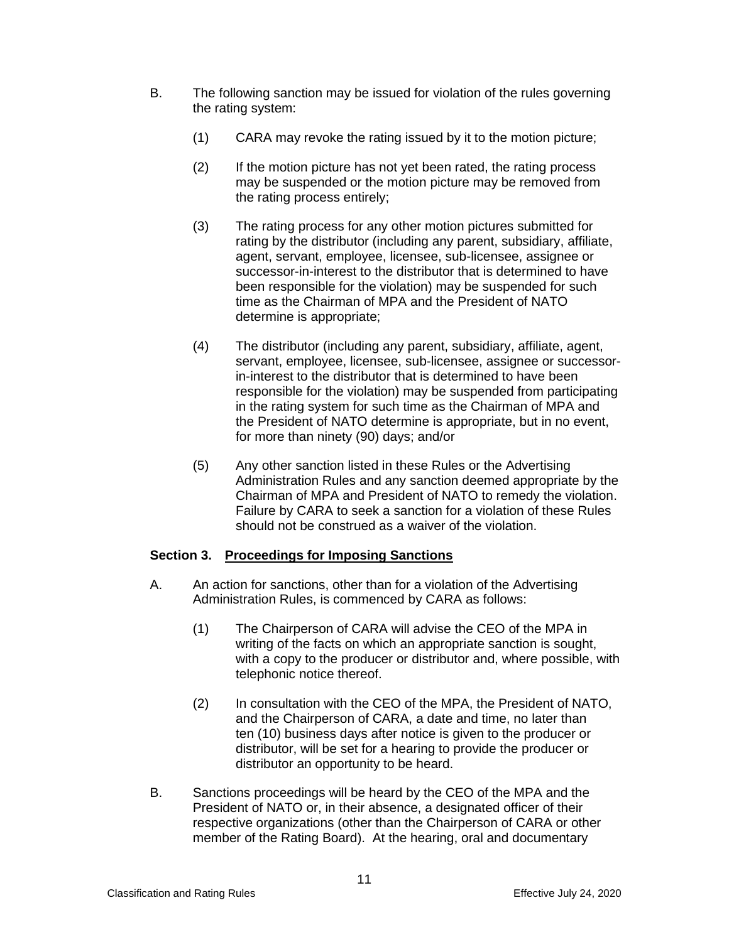- B. The following sanction may be issued for violation of the rules governing the rating system:
	- (1) CARA may revoke the rating issued by it to the motion picture;
	- (2) If the motion picture has not yet been rated, the rating process may be suspended or the motion picture may be removed from the rating process entirely;
	- (3) The rating process for any other motion pictures submitted for rating by the distributor (including any parent, subsidiary, affiliate, agent, servant, employee, licensee, sub-licensee, assignee or successor-in-interest to the distributor that is determined to have been responsible for the violation) may be suspended for such time as the Chairman of MPA and the President of NATO determine is appropriate;
	- (4) The distributor (including any parent, subsidiary, affiliate, agent, servant, employee, licensee, sub-licensee, assignee or successorin-interest to the distributor that is determined to have been responsible for the violation) may be suspended from participating in the rating system for such time as the Chairman of MPA and the President of NATO determine is appropriate, but in no event, for more than ninety (90) days; and/or
	- (5) Any other sanction listed in these Rules or the Advertising Administration Rules and any sanction deemed appropriate by the Chairman of MPA and President of NATO to remedy the violation. Failure by CARA to seek a sanction for a violation of these Rules should not be construed as a waiver of the violation.

#### **Section 3. Proceedings for Imposing Sanctions**

- A. An action for sanctions, other than for a violation of the Advertising Administration Rules, is commenced by CARA as follows:
	- (1) The Chairperson of CARA will advise the CEO of the MPA in writing of the facts on which an appropriate sanction is sought, with a copy to the producer or distributor and, where possible, with telephonic notice thereof.
	- (2) In consultation with the CEO of the MPA, the President of NATO, and the Chairperson of CARA, a date and time, no later than ten (10) business days after notice is given to the producer or distributor, will be set for a hearing to provide the producer or distributor an opportunity to be heard.
- B. Sanctions proceedings will be heard by the CEO of the MPA and the President of NATO or, in their absence, a designated officer of their respective organizations (other than the Chairperson of CARA or other member of the Rating Board). At the hearing, oral and documentary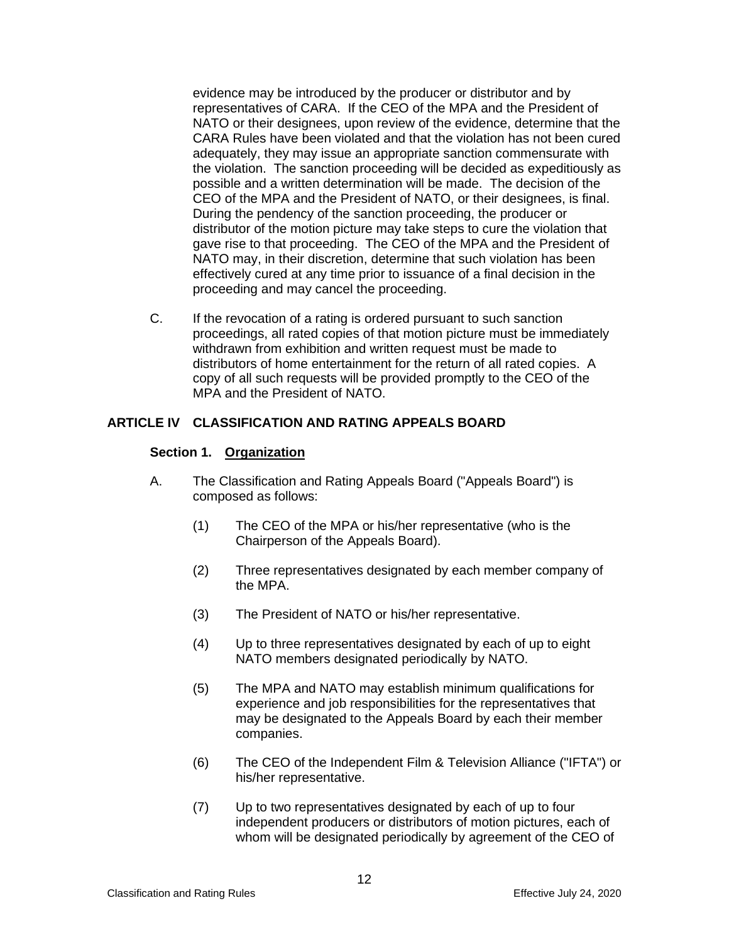evidence may be introduced by the producer or distributor and by representatives of CARA. If the CEO of the MPA and the President of NATO or their designees, upon review of the evidence, determine that the CARA Rules have been violated and that the violation has not been cured adequately, they may issue an appropriate sanction commensurate with the violation. The sanction proceeding will be decided as expeditiously as possible and a written determination will be made. The decision of the CEO of the MPA and the President of NATO, or their designees, is final. During the pendency of the sanction proceeding, the producer or distributor of the motion picture may take steps to cure the violation that gave rise to that proceeding. The CEO of the MPA and the President of NATO may, in their discretion, determine that such violation has been effectively cured at any time prior to issuance of a final decision in the proceeding and may cancel the proceeding.

C. If the revocation of a rating is ordered pursuant to such sanction proceedings, all rated copies of that motion picture must be immediately withdrawn from exhibition and written request must be made to distributors of home entertainment for the return of all rated copies. A copy of all such requests will be provided promptly to the CEO of the MPA and the President of NATO.

#### **ARTICLE IV CLASSIFICATION AND RATING APPEALS BOARD**

#### **Section 1. Organization**

- A. The Classification and Rating Appeals Board ("Appeals Board") is composed as follows:
	- (1) The CEO of the MPA or his/her representative (who is the Chairperson of the Appeals Board).
	- (2) Three representatives designated by each member company of the MPA.
	- (3) The President of NATO or his/her representative.
	- (4) Up to three representatives designated by each of up to eight NATO members designated periodically by NATO.
	- (5) The MPA and NATO may establish minimum qualifications for experience and job responsibilities for the representatives that may be designated to the Appeals Board by each their member companies.
	- (6) The CEO of the Independent Film & Television Alliance ("IFTA") or his/her representative.
	- (7) Up to two representatives designated by each of up to four independent producers or distributors of motion pictures, each of whom will be designated periodically by agreement of the CEO of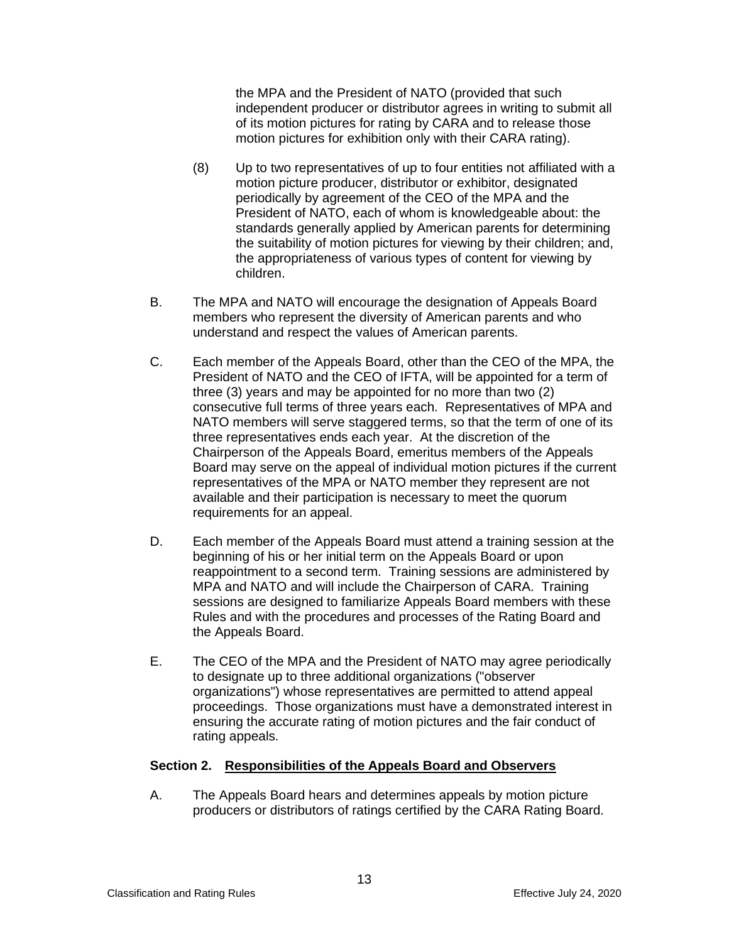the MPA and the President of NATO (provided that such independent producer or distributor agrees in writing to submit all of its motion pictures for rating by CARA and to release those motion pictures for exhibition only with their CARA rating).

- (8) Up to two representatives of up to four entities not affiliated with a motion picture producer, distributor or exhibitor, designated periodically by agreement of the CEO of the MPA and the President of NATO, each of whom is knowledgeable about: the standards generally applied by American parents for determining the suitability of motion pictures for viewing by their children; and, the appropriateness of various types of content for viewing by children.
- B. The MPA and NATO will encourage the designation of Appeals Board members who represent the diversity of American parents and who understand and respect the values of American parents.
- C. Each member of the Appeals Board, other than the CEO of the MPA, the President of NATO and the CEO of IFTA, will be appointed for a term of three (3) years and may be appointed for no more than two (2) consecutive full terms of three years each. Representatives of MPA and NATO members will serve staggered terms, so that the term of one of its three representatives ends each year. At the discretion of the Chairperson of the Appeals Board, emeritus members of the Appeals Board may serve on the appeal of individual motion pictures if the current representatives of the MPA or NATO member they represent are not available and their participation is necessary to meet the quorum requirements for an appeal.
- D. Each member of the Appeals Board must attend a training session at the beginning of his or her initial term on the Appeals Board or upon reappointment to a second term. Training sessions are administered by MPA and NATO and will include the Chairperson of CARA. Training sessions are designed to familiarize Appeals Board members with these Rules and with the procedures and processes of the Rating Board and the Appeals Board.
- E. The CEO of the MPA and the President of NATO may agree periodically to designate up to three additional organizations ("observer organizations") whose representatives are permitted to attend appeal proceedings. Those organizations must have a demonstrated interest in ensuring the accurate rating of motion pictures and the fair conduct of rating appeals.

#### **Section 2. Responsibilities of the Appeals Board and Observers**

A. The Appeals Board hears and determines appeals by motion picture producers or distributors of ratings certified by the CARA Rating Board.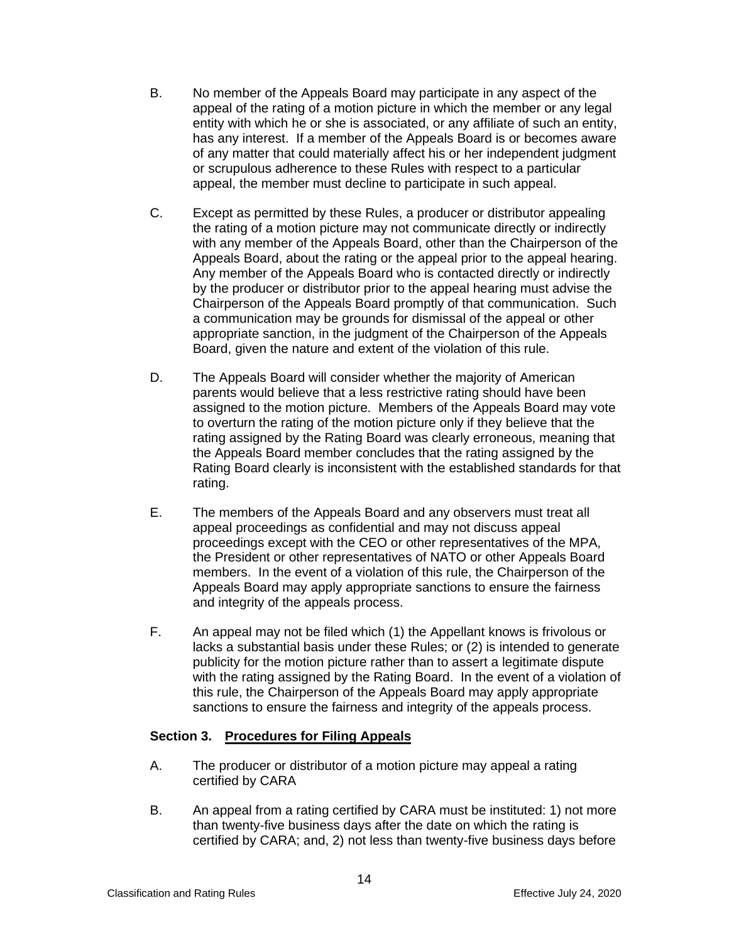- B. No member of the Appeals Board may participate in any aspect of the appeal of the rating of a motion picture in which the member or any legal entity with which he or she is associated, or any affiliate of such an entity, has any interest. If a member of the Appeals Board is or becomes aware of any matter that could materially affect his or her independent judgment or scrupulous adherence to these Rules with respect to a particular appeal, the member must decline to participate in such appeal.
- C. Except as permitted by these Rules, a producer or distributor appealing the rating of a motion picture may not communicate directly or indirectly with any member of the Appeals Board, other than the Chairperson of the Appeals Board, about the rating or the appeal prior to the appeal hearing. Any member of the Appeals Board who is contacted directly or indirectly by the producer or distributor prior to the appeal hearing must advise the Chairperson of the Appeals Board promptly of that communication. Such a communication may be grounds for dismissal of the appeal or other appropriate sanction, in the judgment of the Chairperson of the Appeals Board, given the nature and extent of the violation of this rule.
- D. The Appeals Board will consider whether the majority of American parents would believe that a less restrictive rating should have been assigned to the motion picture. Members of the Appeals Board may vote to overturn the rating of the motion picture only if they believe that the rating assigned by the Rating Board was clearly erroneous, meaning that the Appeals Board member concludes that the rating assigned by the Rating Board clearly is inconsistent with the established standards for that rating.
- E. The members of the Appeals Board and any observers must treat all appeal proceedings as confidential and may not discuss appeal proceedings except with the CEO or other representatives of the MPA, the President or other representatives of NATO or other Appeals Board members. In the event of a violation of this rule, the Chairperson of the Appeals Board may apply appropriate sanctions to ensure the fairness and integrity of the appeals process.
- F. An appeal may not be filed which (1) the Appellant knows is frivolous or lacks a substantial basis under these Rules; or (2) is intended to generate publicity for the motion picture rather than to assert a legitimate dispute with the rating assigned by the Rating Board. In the event of a violation of this rule, the Chairperson of the Appeals Board may apply appropriate sanctions to ensure the fairness and integrity of the appeals process.

#### **Section 3. Procedures for Filing Appeals**

- A. The producer or distributor of a motion picture may appeal a rating certified by CARA
- B. An appeal from a rating certified by CARA must be instituted: 1) not more than twenty-five business days after the date on which the rating is certified by CARA; and, 2) not less than twenty-five business days before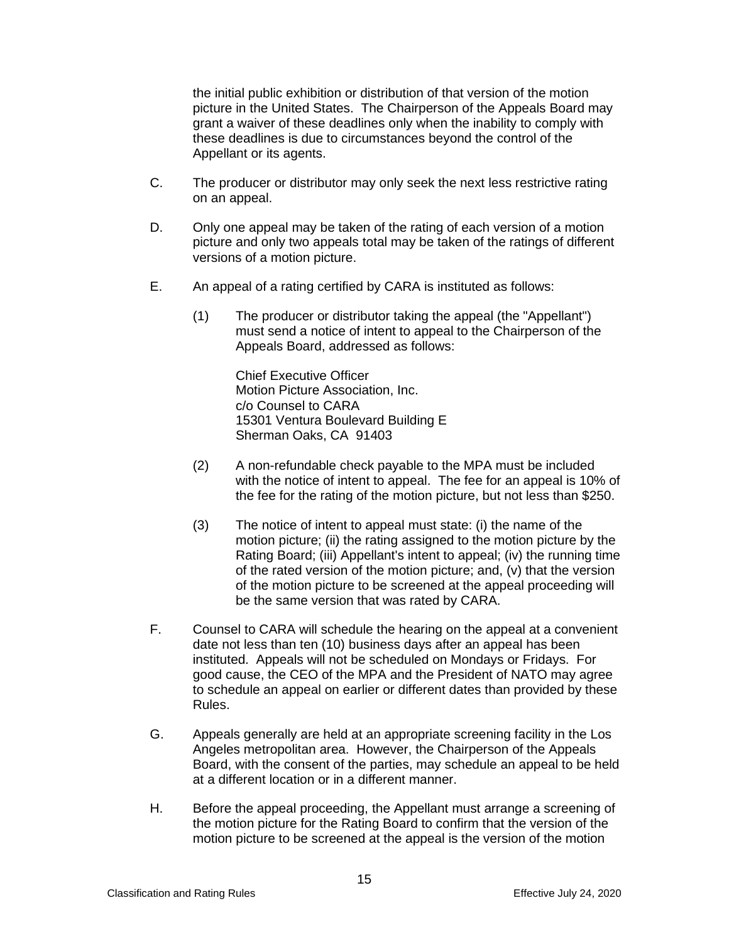the initial public exhibition or distribution of that version of the motion picture in the United States. The Chairperson of the Appeals Board may grant a waiver of these deadlines only when the inability to comply with these deadlines is due to circumstances beyond the control of the Appellant or its agents.

- C. The producer or distributor may only seek the next less restrictive rating on an appeal.
- D. Only one appeal may be taken of the rating of each version of a motion picture and only two appeals total may be taken of the ratings of different versions of a motion picture.
- E. An appeal of a rating certified by CARA is instituted as follows:
	- (1) The producer or distributor taking the appeal (the "Appellant") must send a notice of intent to appeal to the Chairperson of the Appeals Board, addressed as follows:

Chief Executive Officer Motion Picture Association, Inc. c/o Counsel to CARA 15301 Ventura Boulevard Building E Sherman Oaks, CA 91403

- (2) A non-refundable check payable to the MPA must be included with the notice of intent to appeal. The fee for an appeal is 10% of the fee for the rating of the motion picture, but not less than \$250.
- (3) The notice of intent to appeal must state: (i) the name of the motion picture; (ii) the rating assigned to the motion picture by the Rating Board; (iii) Appellant's intent to appeal; (iv) the running time of the rated version of the motion picture; and, (v) that the version of the motion picture to be screened at the appeal proceeding will be the same version that was rated by CARA.
- F. Counsel to CARA will schedule the hearing on the appeal at a convenient date not less than ten (10) business days after an appeal has been instituted. Appeals will not be scheduled on Mondays or Fridays. For good cause, the CEO of the MPA and the President of NATO may agree to schedule an appeal on earlier or different dates than provided by these Rules.
- G. Appeals generally are held at an appropriate screening facility in the Los Angeles metropolitan area. However, the Chairperson of the Appeals Board, with the consent of the parties, may schedule an appeal to be held at a different location or in a different manner.
- H. Before the appeal proceeding, the Appellant must arrange a screening of the motion picture for the Rating Board to confirm that the version of the motion picture to be screened at the appeal is the version of the motion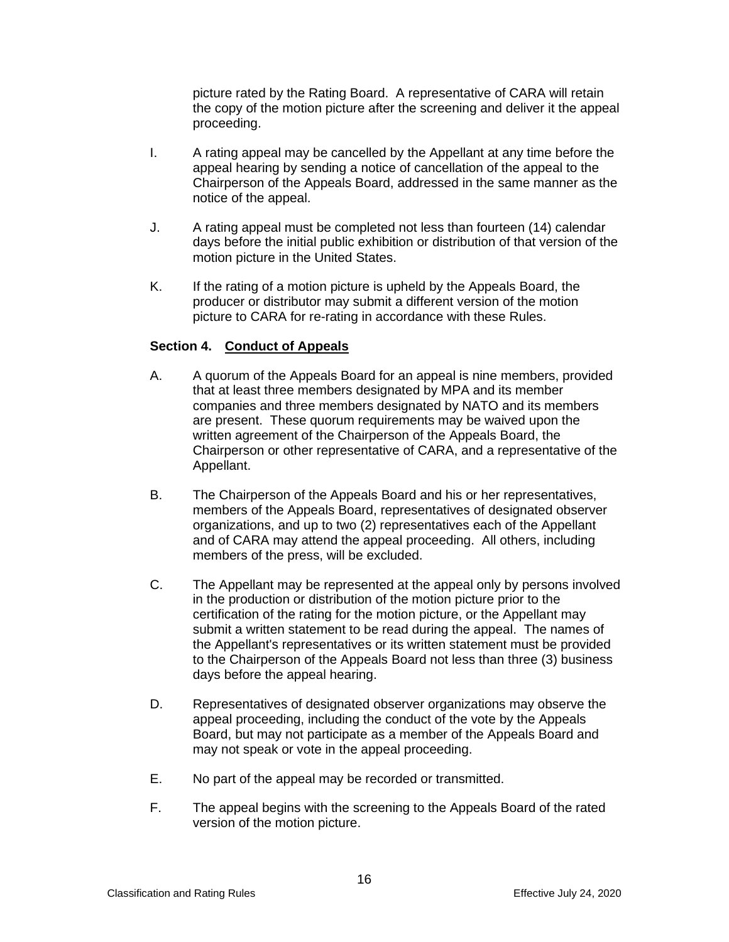picture rated by the Rating Board. A representative of CARA will retain the copy of the motion picture after the screening and deliver it the appeal proceeding.

- I. A rating appeal may be cancelled by the Appellant at any time before the appeal hearing by sending a notice of cancellation of the appeal to the Chairperson of the Appeals Board, addressed in the same manner as the notice of the appeal.
- J. A rating appeal must be completed not less than fourteen (14) calendar days before the initial public exhibition or distribution of that version of the motion picture in the United States.
- K. If the rating of a motion picture is upheld by the Appeals Board, the producer or distributor may submit a different version of the motion picture to CARA for re-rating in accordance with these Rules.

#### **Section 4. Conduct of Appeals**

- A. A quorum of the Appeals Board for an appeal is nine members, provided that at least three members designated by MPA and its member companies and three members designated by NATO and its members are present. These quorum requirements may be waived upon the written agreement of the Chairperson of the Appeals Board, the Chairperson or other representative of CARA, and a representative of the Appellant.
- B. The Chairperson of the Appeals Board and his or her representatives, members of the Appeals Board, representatives of designated observer organizations, and up to two (2) representatives each of the Appellant and of CARA may attend the appeal proceeding. All others, including members of the press, will be excluded.
- C. The Appellant may be represented at the appeal only by persons involved in the production or distribution of the motion picture prior to the certification of the rating for the motion picture, or the Appellant may submit a written statement to be read during the appeal. The names of the Appellant's representatives or its written statement must be provided to the Chairperson of the Appeals Board not less than three (3) business days before the appeal hearing.
- D. Representatives of designated observer organizations may observe the appeal proceeding, including the conduct of the vote by the Appeals Board, but may not participate as a member of the Appeals Board and may not speak or vote in the appeal proceeding.
- E. No part of the appeal may be recorded or transmitted.
- F. The appeal begins with the screening to the Appeals Board of the rated version of the motion picture.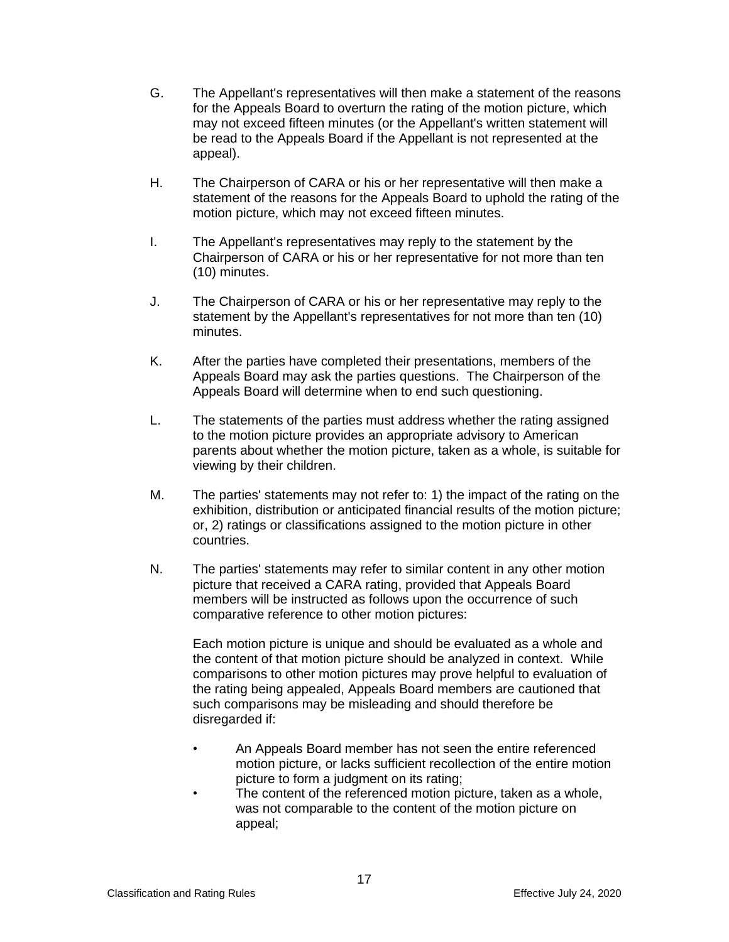- G. The Appellant's representatives will then make a statement of the reasons for the Appeals Board to overturn the rating of the motion picture, which may not exceed fifteen minutes (or the Appellant's written statement will be read to the Appeals Board if the Appellant is not represented at the appeal).
- H. The Chairperson of CARA or his or her representative will then make a statement of the reasons for the Appeals Board to uphold the rating of the motion picture, which may not exceed fifteen minutes.
- I. The Appellant's representatives may reply to the statement by the Chairperson of CARA or his or her representative for not more than ten (10) minutes.
- J. The Chairperson of CARA or his or her representative may reply to the statement by the Appellant's representatives for not more than ten (10) minutes.
- K. After the parties have completed their presentations, members of the Appeals Board may ask the parties questions. The Chairperson of the Appeals Board will determine when to end such questioning.
- L. The statements of the parties must address whether the rating assigned to the motion picture provides an appropriate advisory to American parents about whether the motion picture, taken as a whole, is suitable for viewing by their children.
- M. The parties' statements may not refer to: 1) the impact of the rating on the exhibition, distribution or anticipated financial results of the motion picture; or, 2) ratings or classifications assigned to the motion picture in other countries.
- N. The parties' statements may refer to similar content in any other motion picture that received a CARA rating, provided that Appeals Board members will be instructed as follows upon the occurrence of such comparative reference to other motion pictures:

Each motion picture is unique and should be evaluated as a whole and the content of that motion picture should be analyzed in context. While comparisons to other motion pictures may prove helpful to evaluation of the rating being appealed, Appeals Board members are cautioned that such comparisons may be misleading and should therefore be disregarded if:

- An Appeals Board member has not seen the entire referenced motion picture, or lacks sufficient recollection of the entire motion picture to form a judgment on its rating;
- The content of the referenced motion picture, taken as a whole, was not comparable to the content of the motion picture on appeal;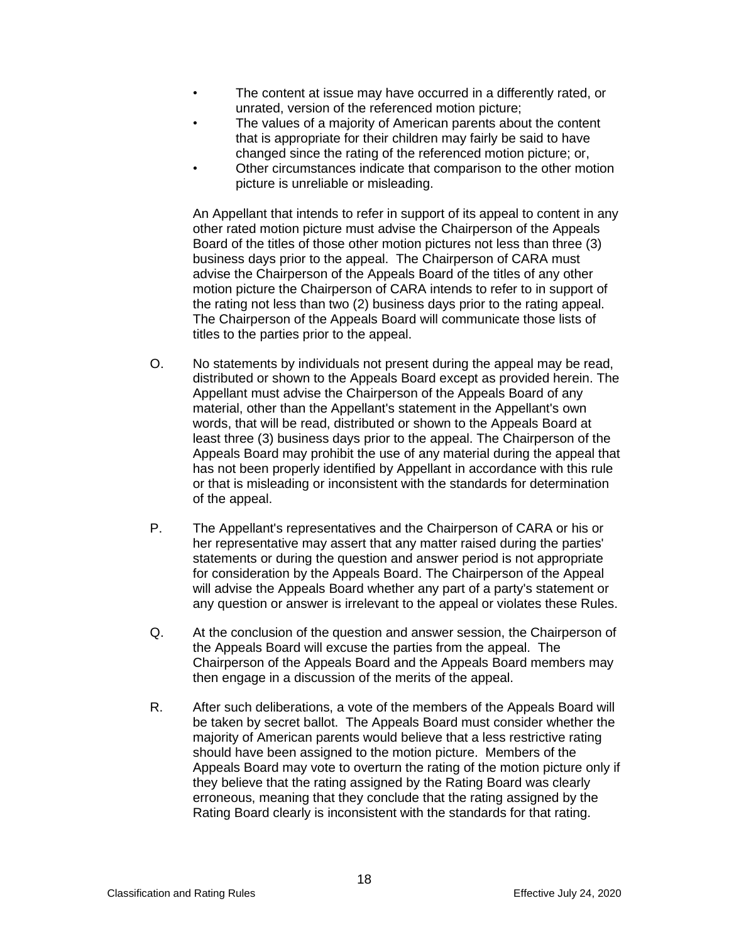- The content at issue may have occurred in a differently rated, or unrated, version of the referenced motion picture;
- The values of a majority of American parents about the content that is appropriate for their children may fairly be said to have changed since the rating of the referenced motion picture; or,
- Other circumstances indicate that comparison to the other motion picture is unreliable or misleading.

An Appellant that intends to refer in support of its appeal to content in any other rated motion picture must advise the Chairperson of the Appeals Board of the titles of those other motion pictures not less than three (3) business days prior to the appeal. The Chairperson of CARA must advise the Chairperson of the Appeals Board of the titles of any other motion picture the Chairperson of CARA intends to refer to in support of the rating not less than two (2) business days prior to the rating appeal. The Chairperson of the Appeals Board will communicate those lists of titles to the parties prior to the appeal.

- O. No statements by individuals not present during the appeal may be read, distributed or shown to the Appeals Board except as provided herein. The Appellant must advise the Chairperson of the Appeals Board of any material, other than the Appellant's statement in the Appellant's own words, that will be read, distributed or shown to the Appeals Board at least three (3) business days prior to the appeal. The Chairperson of the Appeals Board may prohibit the use of any material during the appeal that has not been properly identified by Appellant in accordance with this rule or that is misleading or inconsistent with the standards for determination of the appeal.
- P. The Appellant's representatives and the Chairperson of CARA or his or her representative may assert that any matter raised during the parties' statements or during the question and answer period is not appropriate for consideration by the Appeals Board. The Chairperson of the Appeal will advise the Appeals Board whether any part of a party's statement or any question or answer is irrelevant to the appeal or violates these Rules.
- Q. At the conclusion of the question and answer session, the Chairperson of the Appeals Board will excuse the parties from the appeal. The Chairperson of the Appeals Board and the Appeals Board members may then engage in a discussion of the merits of the appeal.
- R. After such deliberations, a vote of the members of the Appeals Board will be taken by secret ballot. The Appeals Board must consider whether the majority of American parents would believe that a less restrictive rating should have been assigned to the motion picture. Members of the Appeals Board may vote to overturn the rating of the motion picture only if they believe that the rating assigned by the Rating Board was clearly erroneous, meaning that they conclude that the rating assigned by the Rating Board clearly is inconsistent with the standards for that rating.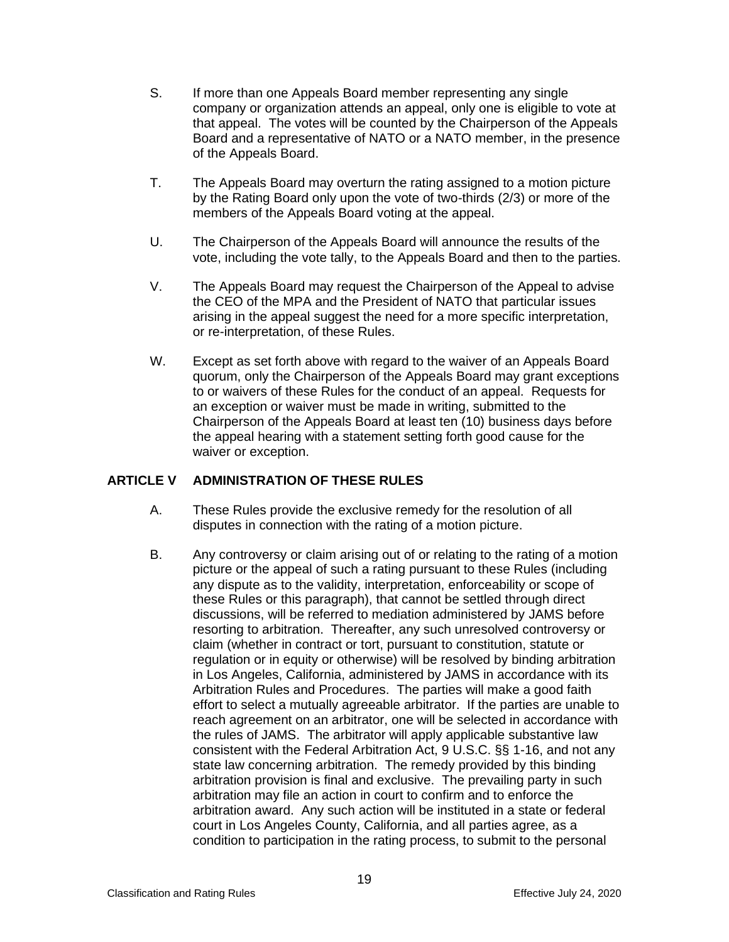- S. If more than one Appeals Board member representing any single company or organization attends an appeal, only one is eligible to vote at that appeal. The votes will be counted by the Chairperson of the Appeals Board and a representative of NATO or a NATO member, in the presence of the Appeals Board.
- T. The Appeals Board may overturn the rating assigned to a motion picture by the Rating Board only upon the vote of two-thirds (2/3) or more of the members of the Appeals Board voting at the appeal.
- U. The Chairperson of the Appeals Board will announce the results of the vote, including the vote tally, to the Appeals Board and then to the parties.
- V. The Appeals Board may request the Chairperson of the Appeal to advise the CEO of the MPA and the President of NATO that particular issues arising in the appeal suggest the need for a more specific interpretation. or re-interpretation, of these Rules.
- W. Except as set forth above with regard to the waiver of an Appeals Board quorum, only the Chairperson of the Appeals Board may grant exceptions to or waivers of these Rules for the conduct of an appeal. Requests for an exception or waiver must be made in writing, submitted to the Chairperson of the Appeals Board at least ten (10) business days before the appeal hearing with a statement setting forth good cause for the waiver or exception.

#### **ARTICLE V ADMINISTRATION OF THESE RULES**

- A. These Rules provide the exclusive remedy for the resolution of all disputes in connection with the rating of a motion picture.
- B. Any controversy or claim arising out of or relating to the rating of a motion picture or the appeal of such a rating pursuant to these Rules (including any dispute as to the validity, interpretation, enforceability or scope of these Rules or this paragraph), that cannot be settled through direct discussions, will be referred to mediation administered by JAMS before resorting to arbitration. Thereafter, any such unresolved controversy or claim (whether in contract or tort, pursuant to constitution, statute or regulation or in equity or otherwise) will be resolved by binding arbitration in Los Angeles, California, administered by JAMS in accordance with its Arbitration Rules and Procedures. The parties will make a good faith effort to select a mutually agreeable arbitrator. If the parties are unable to reach agreement on an arbitrator, one will be selected in accordance with the rules of JAMS. The arbitrator will apply applicable substantive law consistent with the Federal Arbitration Act, 9 U.S.C. §§ 1-16, and not any state law concerning arbitration. The remedy provided by this binding arbitration provision is final and exclusive. The prevailing party in such arbitration may file an action in court to confirm and to enforce the arbitration award. Any such action will be instituted in a state or federal court in Los Angeles County, California, and all parties agree, as a condition to participation in the rating process, to submit to the personal